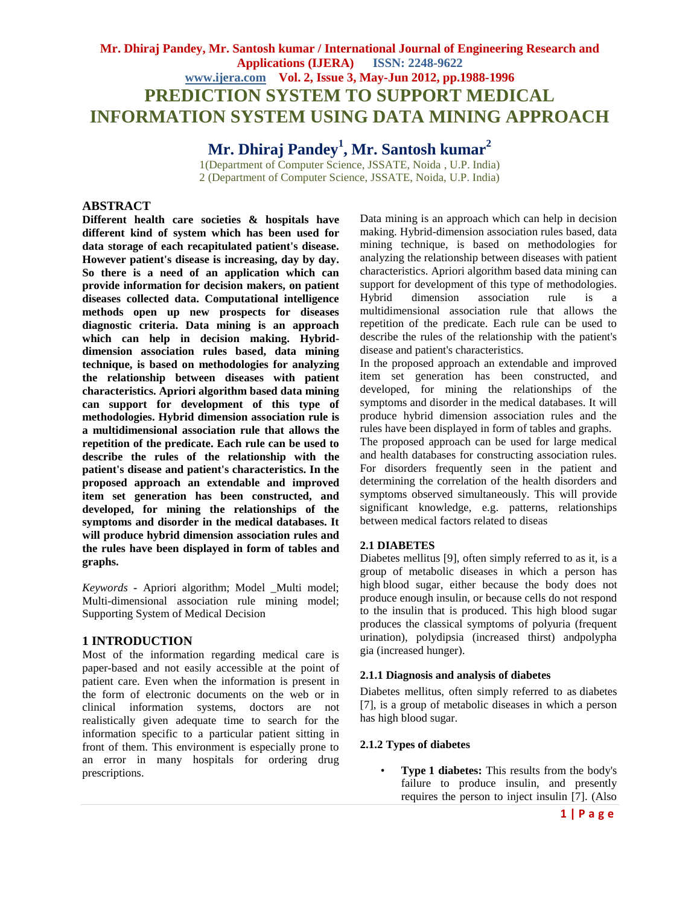# **Mr. Dhiraj Pandey, Mr. Santosh kumar / International Journal of Engineering Research and Applications (IJERA) ISSN: 2248-9622 www.ijera.com Vol. 2, Issue 3, May-Jun 2012, pp.1988-1996 PREDICTION SYSTEM TO SUPPORT MEDICAL INFORMATION SYSTEM USING DATA MINING APPROACH**

# **Mr. Dhiraj Pandey<sup>1</sup> , Mr. Santosh kumar<sup>2</sup>**

1(Department of Computer Science, JSSATE, Noida , U.P. India) 2 (Department of Computer Science, JSSATE, Noida, U.P. India)

# **ABSTRACT**

**Different health care societies & hospitals have different kind of system which has been used for data storage of each recapitulated patient's disease. However patient's disease is increasing, day by day. So there is a need of an application which can provide information for decision makers, on patient diseases collected data. Computational intelligence methods open up new prospects for diseases diagnostic criteria. Data mining is an approach which can help in decision making. Hybriddimension association rules based, data mining technique, is based on methodologies for analyzing the relationship between diseases with patient characteristics. Apriori algorithm based data mining can support for development of this type of methodologies. Hybrid dimension association rule is a multidimensional association rule that allows the repetition of the predicate. Each rule can be used to describe the rules of the relationship with the patient's disease and patient's characteristics. In the proposed approach an extendable and improved item set generation has been constructed, and developed, for mining the relationships of the symptoms and disorder in the medical databases. It will produce hybrid dimension association rules and the rules have been displayed in form of tables and graphs.**

*Keywords* **-** Apriori algorithm; Model \_Multi model; Multi-dimensional association rule mining model; Supporting System of Medical Decision

# **1 INTRODUCTION**

Most of the information regarding medical care is paper-based and not easily accessible at the point of patient care. Even when the information is present in the form of electronic documents on the web or in clinical information systems, doctors are not realistically given adequate time to search for the information specific to a particular patient sitting in front of them. This environment is especially prone to an error in many hospitals for ordering drug prescriptions.

Data mining is an approach which can help in decision making. Hybrid-dimension association rules based, data mining technique, is based on methodologies for analyzing the relationship between diseases with patient characteristics. Apriori algorithm based data mining can support for development of this type of methodologies. Hybrid dimension association rule is a multidimensional association rule that allows the repetition of the predicate. Each rule can be used to describe the rules of the relationship with the patient's disease and patient's characteristics.

In the proposed approach an extendable and improved item set generation has been constructed, and developed, for mining the relationships of the symptoms and disorder in the medical databases. It will produce hybrid dimension association rules and the rules have been displayed in form of tables and graphs. The proposed approach can be used for large medical and health databases for constructing association rules. For disorders frequently seen in the patient and determining the correlation of the health disorders and symptoms observed simultaneously. This will provide significant knowledge, e.g. patterns, relationships between medical factors related to diseas

# **2.1 DIABETES**

Diabetes mellitus [9], often simply referred to as it, is a group of metabolic diseases in which a person has high blood sugar, either because the body does not produce enough insulin, or because cells do not respond to the insulin that is produced. This high blood sugar produces the classical symptoms of polyuria (frequent urination), polydipsia (increased thirst) andpolypha gia (increased hunger).

# **2.1.1 Diagnosis and analysis of diabetes**

Diabetes mellitus, often simply referred to as diabetes [7], is a group of metabolic diseases in which a person has high blood sugar.

# **2.1.2 Types of diabetes**

• **Type 1 diabetes:** This results from the body's failure to produce insulin, and presently requires the person to inject insulin [7]. (Also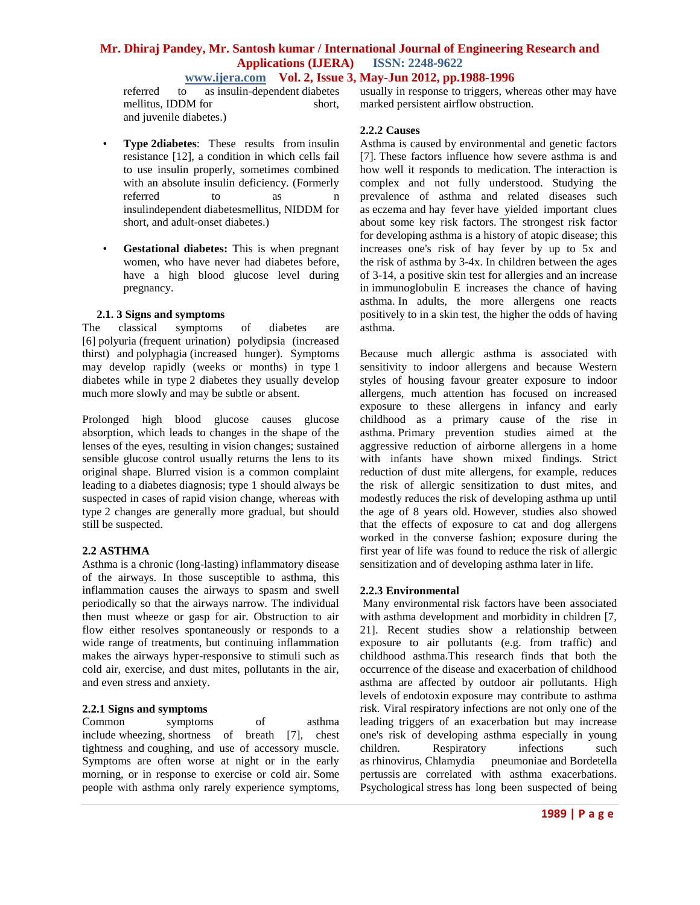**www.ijera.com Vol. 2, Issue 3, May-Jun 2012, pp.1988-1996** to as insulin-dependent diabetes usually in response to triggers. where referred to as insulin-dependent diabetes mellitus, IDDM for short, and juvenile diabetes.)

- **Type 2diabetes**: These results from insulin resistance [12], a condition in which cells fail to use insulin properly, sometimes combined with an absolute insulin deficiency. (Formerly referred to as n insulindependent diabetesmellitus, NIDDM for short, and adult-onset diabetes.)
- **Gestational diabetes:** This is when pregnant women, who have never had diabetes before, have a high blood glucose level during pregnancy.

# **2.1. 3 Signs and symptoms**

The classical symptoms of diabetes are [6] polyuria (frequent urination) polydipsia (increased thirst) and polyphagia (increased hunger). Symptoms may develop rapidly (weeks or months) in type 1 diabetes while in type 2 diabetes they usually develop much more slowly and may be subtle or absent.

Prolonged high blood glucose causes glucose absorption, which leads to changes in the shape of the lenses of the eyes, resulting in vision changes; sustained sensible glucose control usually returns the lens to its original shape. Blurred vision is a common complaint leading to a diabetes diagnosis; type 1 should always be suspected in cases of rapid vision change, whereas with type 2 changes are generally more gradual, but should still be suspected.

# **2.2 ASTHMA**

Asthma is a chronic (long-lasting) inflammatory disease of the airways. In those susceptible to asthma, this inflammation causes the airways to spasm and swell periodically so that the airways narrow. The individual then must wheeze or gasp for air. Obstruction to air flow either resolves spontaneously or responds to a wide range of treatments, but continuing inflammation makes the airways hyper-responsive to stimuli such as cold air, exercise, and dust mites, pollutants in the air, and even stress and anxiety.

# **2.2.1 Signs and symptoms**

Common symptoms of asthma include wheezing, shortness of breath [7], chest tightness and coughing, and use of accessory muscle. Symptoms are often worse at night or in the early morning, or in response to exercise or cold air. Some people with asthma only rarely experience symptoms, usually in response to triggers, whereas other may have marked persistent airflow obstruction.

# **2.2.2 Causes**

Asthma is caused by environmental and genetic factors [7]. These factors influence how severe asthma is and how well it responds to medication. The interaction is complex and not fully understood. Studying the prevalence of asthma and related diseases such as eczema and hay fever have yielded important clues about some key risk factors. The strongest risk factor for developing asthma is a history of atopic disease; this increases one's risk of hay fever by up to 5x and the risk of asthma by 3-4x. In children between the ages of 3-14, a positive skin test for allergies and an increase in immunoglobulin E increases the chance of having asthma. In adults, the more allergens one reacts positively to in a skin test, the higher the odds of having asthma.

Because much allergic asthma is associated with sensitivity to indoor allergens and because Western styles of housing favour greater exposure to indoor allergens, much attention has focused on increased exposure to these allergens in infancy and early childhood as a primary cause of the rise in asthma. Primary prevention studies aimed at the aggressive reduction of airborne allergens in a home with infants have shown mixed findings. Strict reduction of dust mite allergens, for example, reduces the risk of allergic sensitization to dust mites, and modestly reduces the risk of developing asthma up until the age of 8 years old. However, studies also showed that the effects of exposure to cat and dog allergens worked in the converse fashion; exposure during the first year of life was found to reduce the risk of allergic sensitization and of developing asthma later in life.

# **2.2.3 Environmental**

Many environmental risk factors have been associated with asthma development and morbidity in children [7, 21]. Recent studies show a relationship between exposure to air pollutants (e.g. from traffic) and childhood asthma.This research finds that both the occurrence of the disease and exacerbation of childhood asthma are affected by outdoor air pollutants. High levels of endotoxin exposure may contribute to asthma risk. Viral respiratory infections are not only one of the leading triggers of an exacerbation but may increase one's risk of developing asthma especially in young children. Respiratory infections such as rhinovirus, Chlamydia pneumoniae and Bordetella pertussis are correlated with asthma exacerbations. Psychological stress has long been suspected of being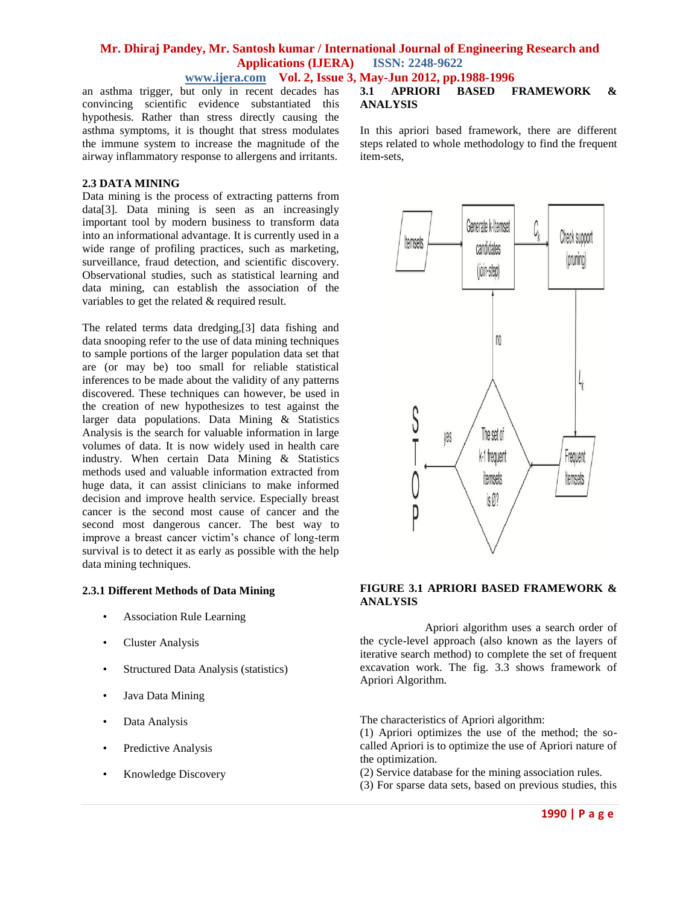**www.ijera.com Vol. 2, Issue 3, May-Jun 2012, pp.1988-1996**

an asthma trigger, but only in recent decades has convincing scientific evidence substantiated this hypothesis. Rather than stress directly causing the asthma symptoms, it is thought that stress modulates the immune system to increase the magnitude of the airway inflammatory response to allergens and irritants.

### **2.3 DATA MINING**

Data mining is the process of extracting patterns from data[3]. Data mining is seen as an increasingly important tool by modern business to transform data into an informational advantage. It is currently used in a wide range of profiling practices, such as marketing, surveillance, fraud detection, and scientific discovery. Observational studies, such as statistical learning and data mining, can establish the association of the variables to get the related & required result.

The related terms data dredging,[3] data fishing and data snooping refer to the use of data mining techniques to sample portions of the larger population data set that are (or may be) too small for reliable statistical inferences to be made about the validity of any patterns discovered. These techniques can however, be used in the creation of new hypothesizes to test against the larger data populations. Data Mining & Statistics Analysis is the search for valuable information in large volumes of data. It is now widely used in health care industry. When certain Data Mining & Statistics methods used and valuable information extracted from huge data, it can assist clinicians to make informed decision and improve health service. Especially breast cancer is the second most cause of cancer and the second most dangerous cancer. The best way to improve a breast cancer victim"s chance of long-term survival is to detect it as early as possible with the help data mining techniques.

### **2.3.1 Different Methods of Data Mining**

- Association Rule Learning
- Cluster Analysis
- Structured Data Analysis (statistics)
- Java Data Mining
- Data Analysis
- Predictive Analysis
- Knowledge Discovery

### **3.1 APRIORI BASED FRAMEWORK & ANALYSIS**

In this apriori based framework, there are different steps related to whole methodology to find the frequent item-sets,



#### **FIGURE 3.1 APRIORI BASED FRAMEWORK & ANALYSIS**

Apriori algorithm uses a search order of the cycle-level approach (also known as the layers of iterative search method) to complete the set of frequent excavation work. The fig. 3.3 shows framework of Apriori Algorithm.

The characteristics of Apriori algorithm:

(1) Apriori optimizes the use of the method; the socalled Apriori is to optimize the use of Apriori nature of the optimization.

- (2) Service database for the mining association rules.
- (3) For sparse data sets, based on previous studies, this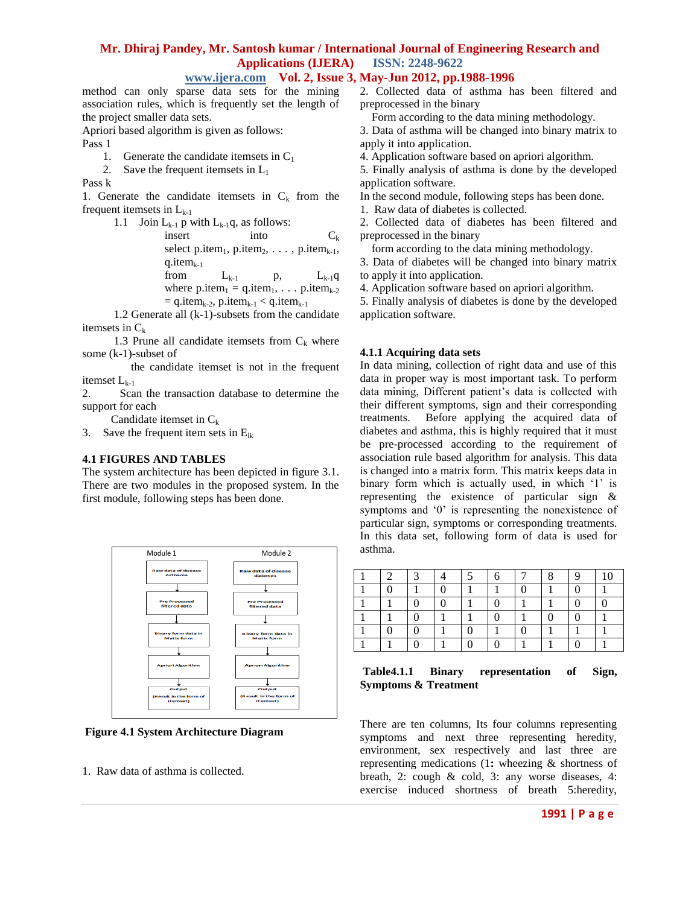**www.ijera.com Vol. 2, Issue 3, May-Jun 2012, pp.1988-1996**

method can only sparse data sets for the mining association rules, which is frequently set the length of the project smaller data sets.

Apriori based algorithm is given as follows:

Pass 1

- 1. Generate the candidate itemsets in  $C_1$
- 2. Save the frequent itemsets in  $L_1$

Pass k

1. Generate the candidate itemsets in  $C_k$  from the frequent itemsets in  $L_{k-1}$ 

> 1.1 Join  $L_{k-1}$  p with  $L_{k-1}$ q, as follows: insert into  $C_k$ select p.item<sub>1</sub>, p.item<sub>2</sub>, . . . , p.item<sub>k-1</sub>,  $q.item_{k-1}$ from  $L_{k-1}$  p,  $L_{k-1}q$ where  $p$ .item<sub>1</sub> = q.item<sub>1</sub>, . . .  $p$ .item<sub>k-2</sub>  $=$  q.item<sub>k-2</sub>, p.item<sub>k-1</sub> < q.item<sub>k-1</sub>

 1.2 Generate all (k-1)-subsets from the candidate itemsets in  $C_k$ 

1.3 Prune all candidate itemsets from  $C_k$  where some (k-1)-subset of

 the candidate itemset is not in the frequent itemset  $L_{k-1}$ 

2. Scan the transaction database to determine the support for each

Candidate itemset in  $C_k$ 

3. Save the frequent item sets in  $E_{lk}$ 

# **4.1 FIGURES AND TABLES**

The system architecture has been depicted in figure 3.1. There are two modules in the proposed system. In the first module, following steps has been done.



**Figure 4.1 System Architecture Diagram**

1. Raw data of asthma is collected.

2. Collected data of asthma has been filtered and preprocessed in the binary

Form according to the data mining methodology.

- 3. Data of asthma will be changed into binary matrix to apply it into application.
- 4. Application software based on apriori algorithm.

5. Finally analysis of asthma is done by the developed application software.

In the second module, following steps has been done.

1. Raw data of diabetes is collected.

2. Collected data of diabetes has been filtered and preprocessed in the binary

form according to the data mining methodology.

3. Data of diabetes will be changed into binary matrix to apply it into application.

4. Application software based on apriori algorithm.

5. Finally analysis of diabetes is done by the developed application software.

# **4.1.1 Acquiring data sets**

In data mining, collection of right data and use of this data in proper way is most important task. To perform data mining, Different patient"s data is collected with their different symptoms, sign and their corresponding treatments. Before applying the acquired data of diabetes and asthma, this is highly required that it must be pre-processed according to the requirement of association rule based algorithm for analysis. This data is changed into a matrix form. This matrix keeps data in binary form which is actually used, in which '1' is representing the existence of particular sign & symptoms and '0' is representing the nonexistence of particular sign, symptoms or corresponding treatments. In this data set, following form of data is used for asthma.

# **Table4.1.1 Binary representation of Sign, Symptoms & Treatment**

There are ten columns, Its four columns representing symptoms and next three representing heredity, environment, sex respectively and last three are representing medications (1**:** wheezing & shortness of breath, 2: cough & cold, 3: any worse diseases, 4: exercise induced shortness of breath 5:heredity,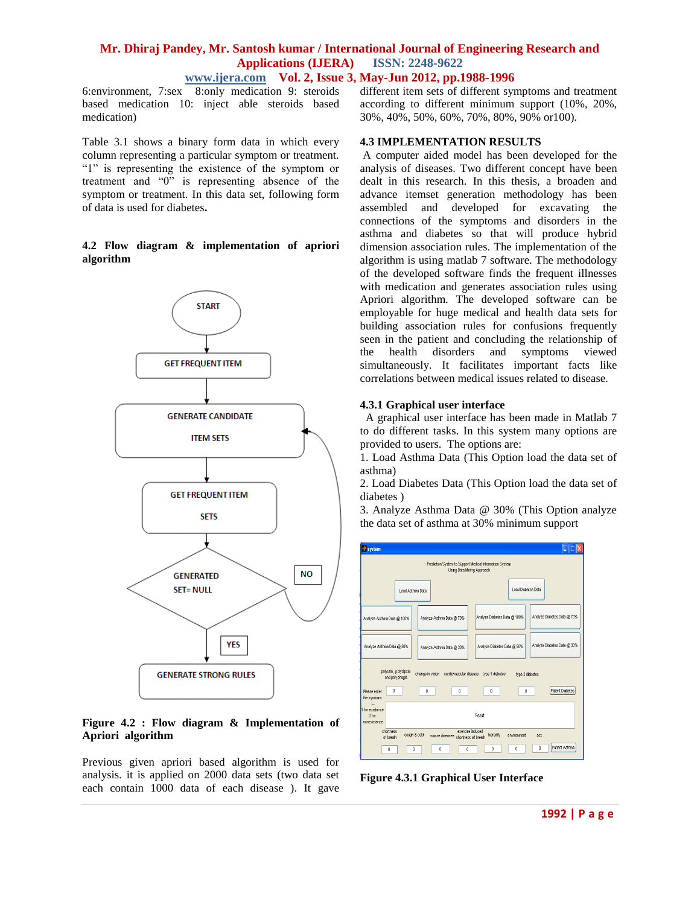# **Mr. Dhiraj Pandey, Mr. Santosh kumar / International Journal of Engineering Research and Applications (IJERA) ISSN: 2248-9622 www.ijera.com Vol. 2, Issue 3, May-Jun 2012, pp.1988-1996**

6:environment, 7:sex 8:only medication 9: steroids based medication 10: inject able steroids based medication)

Table 3.1 shows a binary form data in which every column representing a particular symptom or treatment. "1" is representing the existence of the symptom or treatment and "0" is representing absence of the symptom or treatment. In this data set, following form of data is used for diabetes**.**

# **4.2 Flow diagram & implementation of apriori algorithm**



# **Figure 4.2 : Flow diagram & Implementation of Apriori algorithm**

Previous given apriori based algorithm is used for analysis. it is applied on 2000 data sets (two data set each contain 1000 data of each disease ). It gave different item sets of different symptoms and treatment according to different minimum support (10%, 20%, 30%, 40%, 50%, 60%, 70%, 80%, 90% or100).

### **4.3 IMPLEMENTATION RESULTS**

A computer aided model has been developed for the analysis of diseases. Two different concept have been dealt in this research. In this thesis, a broaden and advance itemset generation methodology has been assembled and developed for excavating the connections of the symptoms and disorders in the asthma and diabetes so that will produce hybrid dimension association rules. The implementation of the algorithm is using matlab 7 software. The methodology of the developed software finds the frequent illnesses with medication and generates association rules using Apriori algorithm. The developed software can be employable for huge medical and health data sets for building association rules for confusions frequently seen in the patient and concluding the relationship of the health disorders and symptoms viewed simultaneously. It facilitates important facts like correlations between medical issues related to disease.

### **4.3.1 Graphical user interface**

 A graphical user interface has been made in Matlab 7 to do different tasks. In this system many options are provided to users. The options are:

1. Load Asthma Data (This Option load the data set of asthma)

2. Load Diabetes Data (This Option load the data set of diabetes )

3. Analyze Asthma Data @ 30% (This Option analyze the data set of asthma at 30% minimum support

| system                                                                                                                             |                                                             |  |  |  |  |  |
|------------------------------------------------------------------------------------------------------------------------------------|-------------------------------------------------------------|--|--|--|--|--|
| Prediction System to Support Medical Information System<br>Using Data Mining Approach                                              |                                                             |  |  |  |  |  |
| Load Asthma Data                                                                                                                   | Load Diabetes Data                                          |  |  |  |  |  |
| Analyze Asthma Data @ 70%<br>Analyze Asthma Data @ 100%                                                                            | Analyze Diabetes Data @ 70%<br>Analyze Diabetes Data @ 100% |  |  |  |  |  |
| Analyze Asthma Data @ 50%<br>Analyze Asthma Data @ 30%                                                                             | Analyze Diabetes Data @ 30%<br>Analyze Diabetes Data @ 50%  |  |  |  |  |  |
| polyuria, polydipsia<br>change in vision cardiovascular disease type 1 diabetes<br>type 2 diabetes<br>and polyphagia               |                                                             |  |  |  |  |  |
| 0<br>$\theta$<br>$\theta$<br>Please enter<br>the symtoms                                                                           | Patient Diabetes<br>$\theta$<br>0                           |  |  |  |  |  |
| ÷.<br>1 for existance<br>0 for<br>nonexistance                                                                                     | Result                                                      |  |  |  |  |  |
| shortness<br>exercise induced<br>couch 8 cold<br>heredity<br>environment<br>worse diseases shortness of breath<br>sex<br>of breath |                                                             |  |  |  |  |  |
| Ō<br>0<br>$\theta$<br>Ō.                                                                                                           | Patient Asthma<br>$\theta$<br>$\theta$<br>$\theta$          |  |  |  |  |  |

**Figure 4.3.1 Graphical User Interface**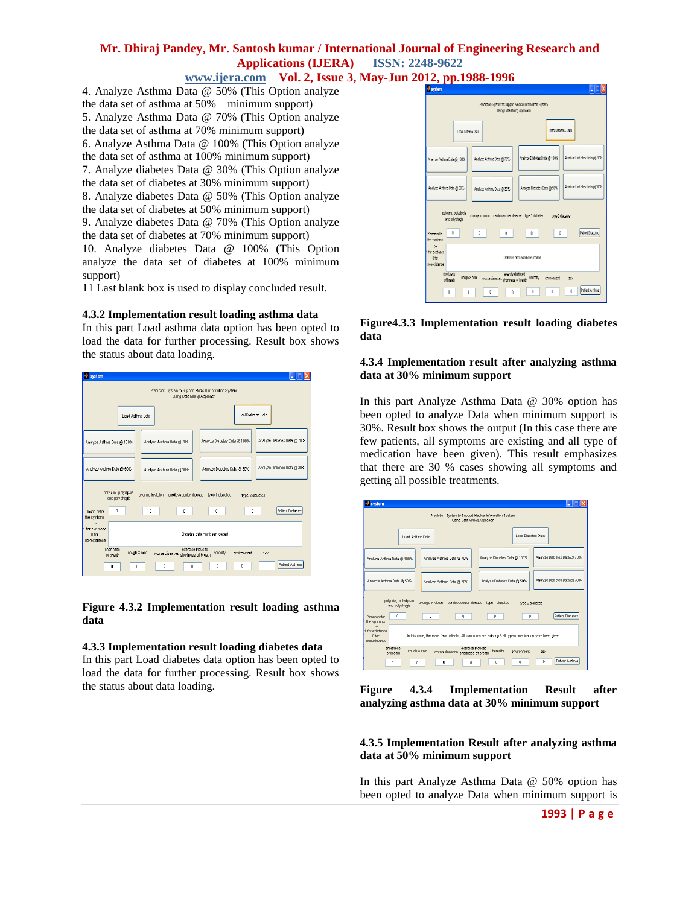# **www.ijera.com Vol. 2, Issue 3, May-Jun 2012, pp.1988-1996**

4. Analyze Asthma Data @ 50% (This Option analyze the data set of asthma at 50% minimum support) 5. Analyze Asthma Data @ 70% (This Option analyze the data set of asthma at 70% minimum support) 6. Analyze Asthma Data @ 100% (This Option analyze the data set of asthma at 100% minimum support) 7. Analyze diabetes Data @ 30% (This Option analyze the data set of diabetes at 30% minimum support) 8. Analyze diabetes Data @ 50% (This Option analyze the data set of diabetes at 50% minimum support) 9. Analyze diabetes Data @ 70% (This Option analyze the data set of diabetes at 70% minimum support) 10. Analyze diabetes Data @ 100% (This Option analyze the data set of diabetes at 100% minimum support)

11 Last blank box is used to display concluded result.

### **4.3.2 Implementation result loading asthma data**

In this part Load asthma data option has been opted to load the data for further processing. Result box shows the status about data loading.



### **Figure 4.3.2 Implementation result loading asthma data**

### **4.3.3 Implementation result loading diabetes data**

In this part Load diabetes data option has been opted to load the data for further processing. Result box shows the status about data loading.



**Figure4.3.3 Implementation result loading diabetes data**

### **4.3.4 Implementation result after analyzing asthma data at 30% minimum support**

In this part Analyze Asthma Data @ 30% option has been opted to analyze Data when minimum support is 30%. Result box shows the output (In this case there are few patients, all symptoms are existing and all type of medication have been given). This result emphasizes that there are 30 % cases showing all symptoms and getting all possible treatments.



**Figure 4.3.4 Implementation Result after analyzing asthma data at 30% minimum support**

# **4.3.5 Implementation Result after analyzing asthma data at 50% minimum support**

In this part Analyze Asthma Data @ 50% option has been opted to analyze Data when minimum support is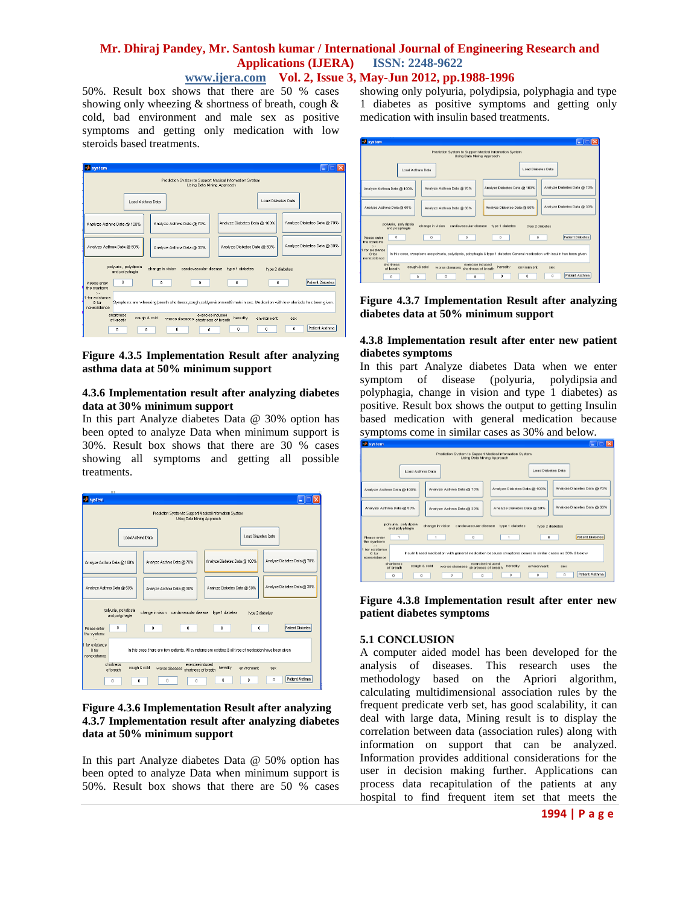# **Mr. Dhiraj Pandey, Mr. Santosh kumar / International Journal of Engineering Research and Applications (IJERA) ISSN: 2248-9622 www.ijera.com Vol. 2, Issue 3, May-Jun 2012, pp.1988-1996**

50%. Result box shows that there are 50 % cases showing only wheezing & shortness of breath, cough & cold, bad environment and male sex as positive symptoms and getting only medication with low steroids based treatments.

| system                                                                                                                                                                          |                             |  |  |  |  |  |
|---------------------------------------------------------------------------------------------------------------------------------------------------------------------------------|-----------------------------|--|--|--|--|--|
| Prediction System to Support Medical Information System<br>Using Data Mining Approach                                                                                           |                             |  |  |  |  |  |
| Load Asthma Data                                                                                                                                                                | Load Diabetes Data          |  |  |  |  |  |
| Analyze Diabetes Data @ 100%<br>Analyze Asthma Data @ 70%<br>Analyze Asthma Data @ 100%                                                                                         | Analyze Diabetes Data @ 70% |  |  |  |  |  |
| Analyze Asthma Data @ 50%<br>Analyze Diabetes Data @ 50%<br>Analyze Asthma Data @ 30%                                                                                           | Analyze Diabetes Data @ 30% |  |  |  |  |  |
| polyuria, polydipsia<br>change in vision<br>cardiovascular disease type 1 diabetes<br>and polyphagia                                                                            | type 2 diabetes             |  |  |  |  |  |
| n<br>$\Omega$<br>0<br>0<br>Please enter<br>the symtoms                                                                                                                          | Patient Diabetes<br>0       |  |  |  |  |  |
| $\sim$<br>1 for existance<br>Symptoms are wheezing breath shortness cough cold environment& male in sex. Medication with low steriods has been given.<br>ft for<br>nonexistance |                             |  |  |  |  |  |
| shortness<br>exercise induced<br>cough & cold<br>heredity<br>worse diseases shortness of breath<br>of breath                                                                    | environment<br>sex          |  |  |  |  |  |
| n<br>n<br>$\Omega$<br>n<br>o                                                                                                                                                    | Patient Asthma<br>n<br>n    |  |  |  |  |  |

### **Figure 4.3.5 Implementation Result after analyzing asthma data at 50% minimum support**

#### **4.3.6 Implementation result after analyzing diabetes data at 30% minimum support**

In this part Analyze diabetes Data @ 30% option has been opted to analyze Data when minimum support is 30%. Result box shows that there are 30 % cases showing all symptoms and getting all possible treatments.

| <b>ILLE</b>                                                                                                                                                  |                                                             |  |  |  |  |  |
|--------------------------------------------------------------------------------------------------------------------------------------------------------------|-------------------------------------------------------------|--|--|--|--|--|
| system                                                                                                                                                       |                                                             |  |  |  |  |  |
| Prediction System to Support Medical Information System<br>Using Data Mining Approach                                                                        |                                                             |  |  |  |  |  |
| Load Asthma Data                                                                                                                                             | Load Diabetes Data                                          |  |  |  |  |  |
| Analyze Asthma Data @ 70%<br>Analyze Asthma Data @ 100%                                                                                                      | Analyze Diabetes Data @ 70%<br>Analyze Diabetes Data @ 100% |  |  |  |  |  |
| Analyze Asthma Data @ 50%<br>Analyze Asthma Data @ 30%                                                                                                       | Analyze Diabetes Data @ 30%<br>Analyze Diabetes Data @ 50%  |  |  |  |  |  |
| polyuria, polydiosia<br>change in vision<br>cardiovascular disease<br>type 1 diabetes<br>type 2 diabetes<br>and polyphacia                                   |                                                             |  |  |  |  |  |
| 0<br>$\theta$<br>$\theta$<br>Please enter<br>the symtoms                                                                                                     | Patient Diabetes<br>Ō<br>$\theta$                           |  |  |  |  |  |
| See.<br>1 for existance<br>In this case, there are few patients. All symptoms are existing & all type of medication have been given<br>0 for<br>nonexistance |                                                             |  |  |  |  |  |
| exercise induced<br>shortness<br>cough & cold<br>worse diseases shortness of breath<br>of breath                                                             | heredity<br>environment<br>sex                              |  |  |  |  |  |
| O<br>O<br>O<br>٥                                                                                                                                             | Patient Asthma<br>n<br>n<br>n                               |  |  |  |  |  |

# **Figure 4.3.6 Implementation Result after analyzing 4.3.7 Implementation result after analyzing diabetes data at 50% minimum support**

In this part Analyze diabetes Data @ 50% option has been opted to analyze Data when minimum support is 50%. Result box shows that there are 50 % cases showing only polyuria, polydipsia, polyphagia and type 1 diabetes as positive symptoms and getting only medication with insulin based treatments.

| system                                                                                                                             |                                                                                                                              |  |  |  |  |  |
|------------------------------------------------------------------------------------------------------------------------------------|------------------------------------------------------------------------------------------------------------------------------|--|--|--|--|--|
| Prediction System to Support Medical Information System<br>Using Data Mining Approach                                              |                                                                                                                              |  |  |  |  |  |
| Load Asthma Data                                                                                                                   | <b>Load Diabetes Data</b>                                                                                                    |  |  |  |  |  |
| Analyze Asthma Data @ 70%<br>Analyze Asthma Data @ 100%                                                                            | Analyze Diabetes Data @ 70%<br>Analyze Diabetes Data @ 100%                                                                  |  |  |  |  |  |
| Analyze Asthma Data @ 50%<br>Analyze Asthma Data @ 30%                                                                             | Analyze Diabetes Data @ 30%<br>Analyze Diabetes Data @ 50%                                                                   |  |  |  |  |  |
| polyuria, polydipsia<br>change in vision<br>and polyphagia                                                                         | cardiovascular disease type 1 diabetes<br>type 2 diabetes                                                                    |  |  |  |  |  |
| o<br>0<br>0<br>Please enter<br>the symtoms                                                                                         | Patient Diabetes<br>n<br>0.                                                                                                  |  |  |  |  |  |
| $\mathcal{C}_{\text{max}}$<br>for existence.<br>$0$ for<br>nonexistance                                                            | In this case, symptoms are polyuria, polydipsia, polyphagia & type 1 diabetes.General medication with insulin has been given |  |  |  |  |  |
| shortness<br>exercise induced<br>cough & cold<br>worse diseases shortness of breath<br>of breath<br>$\Omega$<br>$\bf{0}$<br>0<br>0 | heredity<br>environment<br>sex<br>Potient Asthma<br>Ō<br>o<br>o                                                              |  |  |  |  |  |

**Figure 4.3.7 Implementation Result after analyzing diabetes data at 50% minimum support**

# **4.3.8 Implementation result after enter new patient diabetes symptoms**

In this part Analyze diabetes Data when we enter symptom of disease (polyuria, polydipsia and polyphagia, change in vision and type 1 diabetes) as positive. Result box shows the output to getting Insulin based medication with general medication because symptoms come in similar cases as 30% and below.



**Figure 4.3.8 Implementation result after enter new patient diabetes symptoms**

# **5.1 CONCLUSION**

A computer aided model has been developed for the analysis of diseases. This research uses the methodology based on the Apriori algorithm, calculating multidimensional association rules by the frequent predicate verb set, has good scalability, it can deal with large data, Mining result is to display the correlation between data (association rules) along with information on support that can be analyzed. Information provides additional considerations for the user in decision making further. Applications can process data recapitulation of the patients at any hospital to find frequent item set that meets the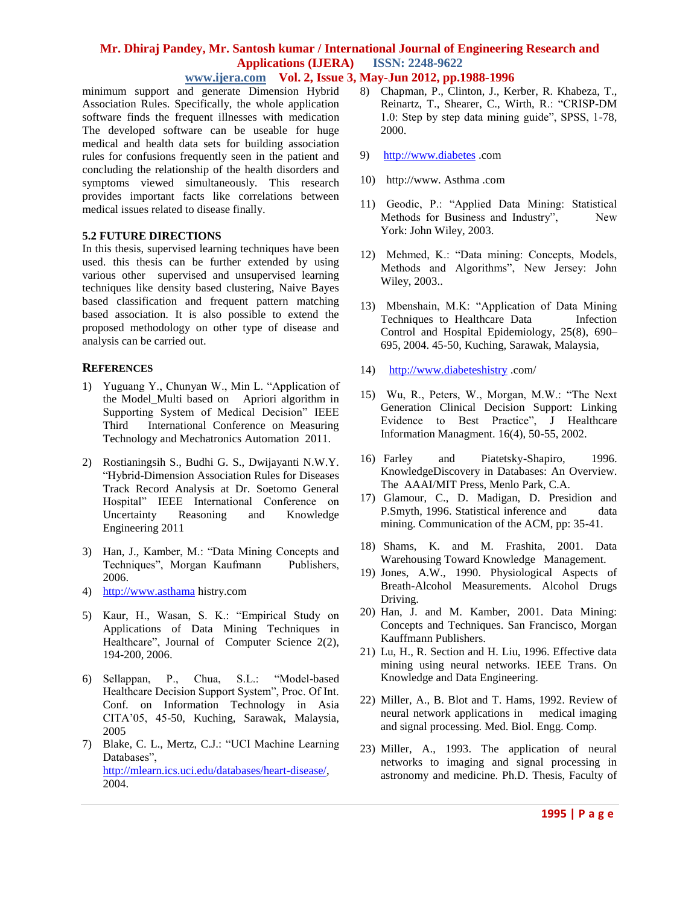# **www.ijera.com Vol. 2, Issue 3, May-Jun 2012, pp.1988-1996**

minimum support and generate Dimension Hybrid Association Rules. Specifically, the whole application software finds the frequent illnesses with medication The developed software can be useable for huge medical and health data sets for building association rules for confusions frequently seen in the patient and concluding the relationship of the health disorders and symptoms viewed simultaneously. This research provides important facts like correlations between medical issues related to disease finally.

### **5.2 FUTURE DIRECTIONS**

In this thesis, supervised learning techniques have been used. this thesis can be further extended by using various other supervised and unsupervised learning techniques like density based clustering, Naive Bayes based classification and frequent pattern matching based association. It is also possible to extend the proposed methodology on other type of disease and analysis can be carried out.

# **REFERENCES**

- 1) Yuguang Y., Chunyan W., Min L. "Application of the Model\_Multi based on Apriori algorithm in Supporting System of Medical Decision" IEEE Third International Conference on Measuring Technology and Mechatronics Automation 2011.
- 2) Rostianingsih S., Budhi G. S., Dwijayanti N.W.Y. "Hybrid-Dimension Association Rules for Diseases Track Record Analysis at Dr. Soetomo General Hospital" IEEE International Conference on Uncertainty Reasoning and Knowledge Engineering 2011
- 3) Han, J., Kamber, M.: "Data Mining Concepts and Techniques", Morgan Kaufmann Publishers, 2006.
- 4) [http://www.asthama](http://www.asthama/) histry.com
- 5) Kaur, H., Wasan, S. K.: "Empirical Study on Applications of Data Mining Techniques in Healthcare", Journal of Computer Science 2(2), 194-200, 2006.
- 6) Sellappan, P., Chua, S.L.: "Model-based Healthcare Decision Support System", Proc. Of Int. Conf. on Information Technology in Asia CITA"05, 45-50, Kuching, Sarawak, Malaysia, 2005
- 7) Blake, C. L., Mertz, C.J.: "UCI Machine Learning Databases", [http://mlearn.ics.uci.edu/databases/heart-disease/,](http://mlearn.ics.uci.edu/databases/heart-disease/) 2004.
- 8) Chapman, P., Clinton, J., Kerber, R. Khabeza, T., Reinartz, T., Shearer, C., Wirth, R.: "CRISP-DM 1.0: Step by step data mining guide", SPSS, 1-78, 2000.
- 9) [http://www.diabetes](http://www.diabetes/) .com
- 10) http://www. Asthma .com
- 11) Geodic, P.: "Applied Data Mining: Statistical Methods for Business and Industry", New York: John Wiley, 2003.
- 12) Mehmed, K.: "Data mining: Concepts, Models, Methods and Algorithms", New Jersey: John Wiley, 2003..
- 13) Mbenshain, M.K: "Application of Data Mining Techniques to Healthcare Data Infection Control and Hospital Epidemiology, 25(8), 690– 695, 2004. 45-50, Kuching, Sarawak, Malaysia,
- 14) [http://www.diabeteshistry](http://www.diabeteshistry/) .com/
- 15) Wu, R., Peters, W., Morgan, M.W.: "The Next Generation Clinical Decision Support: Linking Evidence to Best Practice", J Healthcare Information Managment. 16(4), 50-55, 2002.
- 16) Farley and Piatetsky-Shapiro, 1996. KnowledgeDiscovery in Databases: An Overview. The AAAI/MIT Press, Menlo Park, C.A.
- 17) Glamour, C., D. Madigan, D. Presidion and P.Smyth, 1996. Statistical inference and data mining. Communication of the ACM, pp: 35-41.
- 18) Shams, K. and M. Frashita, 2001. Data Warehousing Toward Knowledge Management.
- 19) Jones, A.W., 1990. Physiological Aspects of Breath-Alcohol Measurements. Alcohol Drugs Driving.
- 20) Han, J. and M. Kamber, 2001. Data Mining: Concepts and Techniques. San Francisco, Morgan Kauffmann Publishers.
- 21) Lu, H., R. Section and H. Liu, 1996. Effective data mining using neural networks. IEEE Trans. On Knowledge and Data Engineering.
- 22) Miller, A., B. Blot and T. Hams, 1992. Review of neural network applications in medical imaging and signal processing. Med. Biol. Engg. Comp.
- 23) Miller, A., 1993. The application of neural networks to imaging and signal processing in astronomy and medicine. Ph.D. Thesis, Faculty of